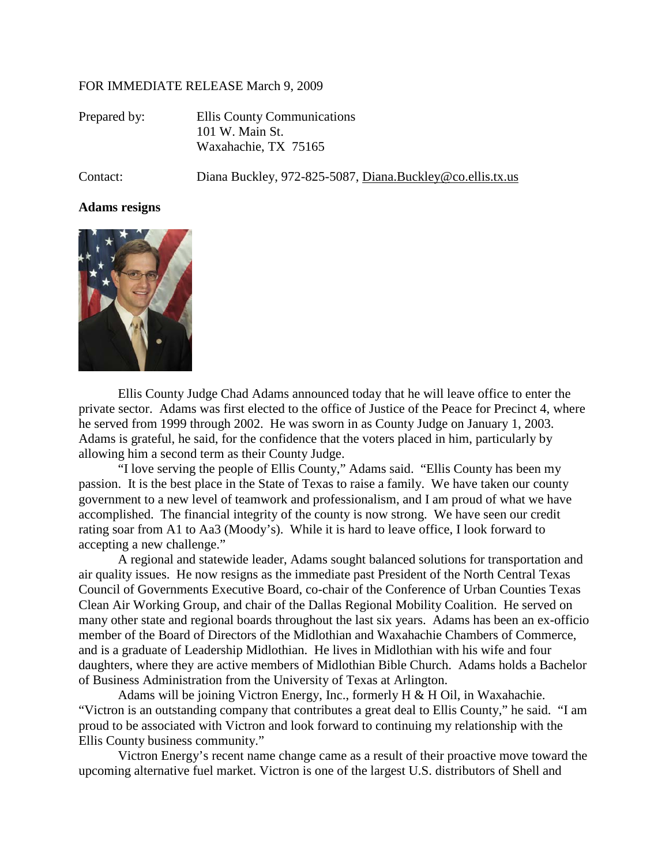## FOR IMMEDIATE RELEASE March 9, 2009

| Prepared by: | Ellis County Communications |
|--------------|-----------------------------|
|              | 101 W. Main St.             |
|              | Waxahachie, TX 75165        |

Contact: Diana Buckley, 972-825-5087, Diana.Buckley@co.ellis.tx.us

## **Adams resigns**



Ellis County Judge Chad Adams announced today that he will leave office to enter the private sector. Adams was first elected to the office of Justice of the Peace for Precinct 4, where he served from 1999 through 2002. He was sworn in as County Judge on January 1, 2003. Adams is grateful, he said, for the confidence that the voters placed in him, particularly by allowing him a second term as their County Judge.

"I love serving the people of Ellis County," Adams said. "Ellis County has been my passion. It is the best place in the State of Texas to raise a family. We have taken our county government to a new level of teamwork and professionalism, and I am proud of what we have accomplished. The financial integrity of the county is now strong. We have seen our credit rating soar from A1 to Aa3 (Moody's). While it is hard to leave office, I look forward to accepting a new challenge."

A regional and statewide leader, Adams sought balanced solutions for transportation and air quality issues. He now resigns as the immediate past President of the North Central Texas Council of Governments Executive Board, co-chair of the Conference of Urban Counties Texas Clean Air Working Group, and chair of the Dallas Regional Mobility Coalition. He served on many other state and regional boards throughout the last six years. Adams has been an ex-officio member of the Board of Directors of the Midlothian and Waxahachie Chambers of Commerce, and is a graduate of Leadership Midlothian. He lives in Midlothian with his wife and four daughters, where they are active members of Midlothian Bible Church. Adams holds a Bachelor of Business Administration from the University of Texas at Arlington.

Adams will be joining Victron Energy, Inc., formerly H & H Oil, in Waxahachie. "Victron is an outstanding company that contributes a great deal to Ellis County," he said. "I am proud to be associated with Victron and look forward to continuing my relationship with the Ellis County business community."

Victron Energy's recent name change came as a result of their proactive move toward the upcoming alternative fuel market. Victron is one of the largest U.S. distributors of Shell and